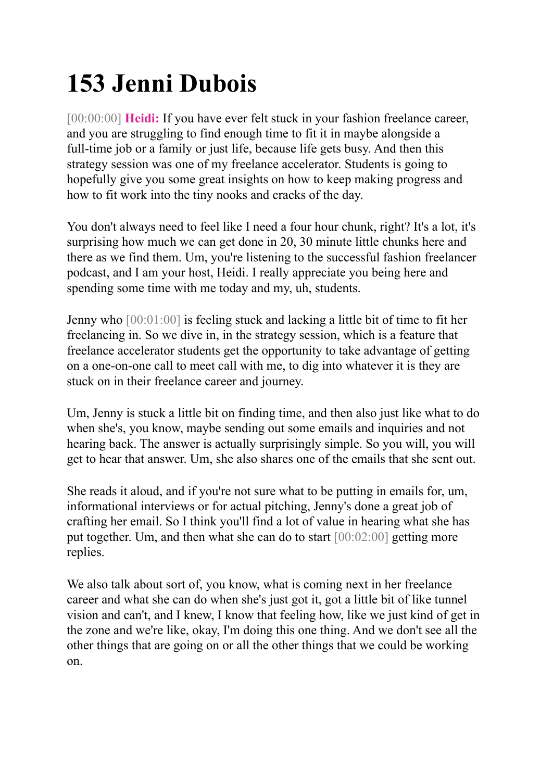## **153 Jenni Dubois**

[00:00:00] **Heidi:** If you have ever felt stuck in your fashion freelance career, and you are struggling to find enough time to fit it in maybe alongside a full-time job or a family or just life, because life gets busy. And then this strategy session was one of my freelance accelerator. Students is going to hopefully give you some great insights on how to keep making progress and how to fit work into the tiny nooks and cracks of the day.

You don't always need to feel like I need a four hour chunk, right? It's a lot, it's surprising how much we can get done in 20, 30 minute little chunks here and there as we find them. Um, you're listening to the successful fashion freelancer podcast, and I am your host, Heidi. I really appreciate you being here and spending some time with me today and my, uh, students.

Jenny who [00:01:00] is feeling stuck and lacking a little bit of time to fit her freelancing in. So we dive in, in the strategy session, which is a feature that freelance accelerator students get the opportunity to take advantage of getting on a one-on-one call to meet call with me, to dig into whatever it is they are stuck on in their freelance career and journey.

Um, Jenny is stuck a little bit on finding time, and then also just like what to do when she's, you know, maybe sending out some emails and inquiries and not hearing back. The answer is actually surprisingly simple. So you will, you will get to hear that answer. Um, she also shares one of the emails that she sent out.

She reads it aloud, and if you're not sure what to be putting in emails for, um, informational interviews or for actual pitching, Jenny's done a great job of crafting her email. So I think you'll find a lot of value in hearing what she has put together. Um, and then what she can do to start [00:02:00] getting more replies.

We also talk about sort of, you know, what is coming next in her freelance career and what she can do when she's just got it, got a little bit of like tunnel vision and can't, and I knew, I know that feeling how, like we just kind of get in the zone and we're like, okay, I'm doing this one thing. And we don't see all the other things that are going on or all the other things that we could be working on.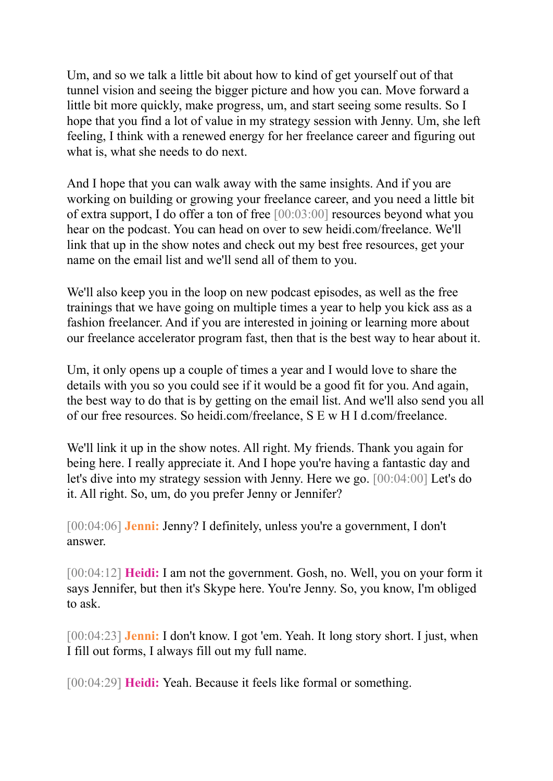Um, and so we talk a little bit about how to kind of get yourself out of that tunnel vision and seeing the bigger picture and how you can. Move forward a little bit more quickly, make progress, um, and start seeing some results. So I hope that you find a lot of value in my strategy session with Jenny. Um, she left feeling, I think with a renewed energy for her freelance career and figuring out what is, what she needs to do next.

And I hope that you can walk away with the same insights. And if you are working on building or growing your freelance career, and you need a little bit of extra support, I do offer a ton of free [00:03:00] resources beyond what you hear on the podcast. You can head on over to sew heidi.com/freelance. We'll link that up in the show notes and check out my best free resources, get your name on the email list and we'll send all of them to you.

We'll also keep you in the loop on new podcast episodes, as well as the free trainings that we have going on multiple times a year to help you kick ass as a fashion freelancer. And if you are interested in joining or learning more about our freelance accelerator program fast, then that is the best way to hear about it.

Um, it only opens up a couple of times a year and I would love to share the details with you so you could see if it would be a good fit for you. And again, the best way to do that is by getting on the email list. And we'll also send you all of our free resources. So heidi.com/freelance, S E w H I d.com/freelance.

We'll link it up in the show notes. All right. My friends. Thank you again for being here. I really appreciate it. And I hope you're having a fantastic day and let's dive into my strategy session with Jenny. Here we go. [00:04:00] Let's do it. All right. So, um, do you prefer Jenny or Jennifer?

[00:04:06] **Jenni:** Jenny? I definitely, unless you're a government, I don't answer.

[00:04:12] **Heidi:** I am not the government. Gosh, no. Well, you on your form it says Jennifer, but then it's Skype here. You're Jenny. So, you know, I'm obliged to ask.

[00:04:23] **Jenni:** I don't know. I got 'em. Yeah. It long story short. I just, when I fill out forms, I always fill out my full name.

[00:04:29] **Heidi:** Yeah. Because it feels like formal or something.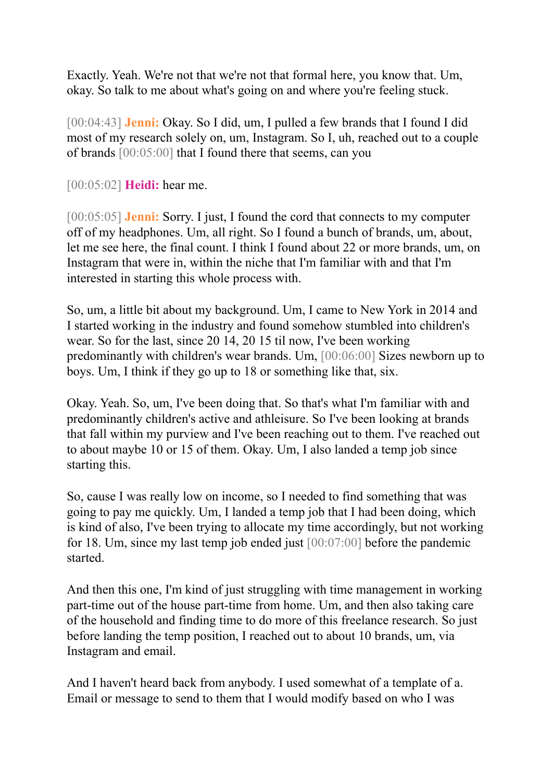Exactly. Yeah. We're not that we're not that formal here, you know that. Um, okay. So talk to me about what's going on and where you're feeling stuck.

[00:04:43] **Jenni:** Okay. So I did, um, I pulled a few brands that I found I did most of my research solely on, um, Instagram. So I, uh, reached out to a couple of brands [00:05:00] that I found there that seems, can you

[00:05:02] **Heidi:** hear me.

[00:05:05] **Jenni:** Sorry. I just, I found the cord that connects to my computer off of my headphones. Um, all right. So I found a bunch of brands, um, about, let me see here, the final count. I think I found about 22 or more brands, um, on Instagram that were in, within the niche that I'm familiar with and that I'm interested in starting this whole process with.

So, um, a little bit about my background. Um, I came to New York in 2014 and I started working in the industry and found somehow stumbled into children's wear. So for the last, since 20 14, 20 15 til now, I've been working predominantly with children's wear brands. Um, [00:06:00] Sizes newborn up to boys. Um, I think if they go up to 18 or something like that, six.

Okay. Yeah. So, um, I've been doing that. So that's what I'm familiar with and predominantly children's active and athleisure. So I've been looking at brands that fall within my purview and I've been reaching out to them. I've reached out to about maybe 10 or 15 of them. Okay. Um, I also landed a temp job since starting this.

So, cause I was really low on income, so I needed to find something that was going to pay me quickly. Um, I landed a temp job that I had been doing, which is kind of also, I've been trying to allocate my time accordingly, but not working for 18. Um, since my last temp job ended just [00:07:00] before the pandemic started.

And then this one, I'm kind of just struggling with time management in working part-time out of the house part-time from home. Um, and then also taking care of the household and finding time to do more of this freelance research. So just before landing the temp position, I reached out to about 10 brands, um, via Instagram and email.

And I haven't heard back from anybody. I used somewhat of a template of a. Email or message to send to them that I would modify based on who I was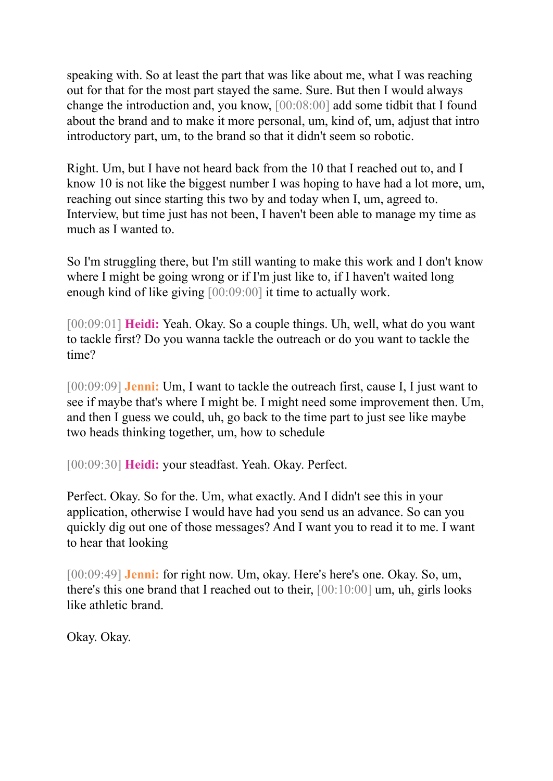speaking with. So at least the part that was like about me, what I was reaching out for that for the most part stayed the same. Sure. But then I would always change the introduction and, you know, [00:08:00] add some tidbit that I found about the brand and to make it more personal, um, kind of, um, adjust that intro introductory part, um, to the brand so that it didn't seem so robotic.

Right. Um, but I have not heard back from the 10 that I reached out to, and I know 10 is not like the biggest number I was hoping to have had a lot more, um, reaching out since starting this two by and today when I, um, agreed to. Interview, but time just has not been, I haven't been able to manage my time as much as I wanted to.

So I'm struggling there, but I'm still wanting to make this work and I don't know where I might be going wrong or if I'm just like to, if I haven't waited long enough kind of like giving [00:09:00] it time to actually work.

[00:09:01] **Heidi:** Yeah. Okay. So a couple things. Uh, well, what do you want to tackle first? Do you wanna tackle the outreach or do you want to tackle the time?

[00:09:09] **Jenni:** Um, I want to tackle the outreach first, cause I, I just want to see if maybe that's where I might be. I might need some improvement then. Um, and then I guess we could, uh, go back to the time part to just see like maybe two heads thinking together, um, how to schedule

[00:09:30] **Heidi:** your steadfast. Yeah. Okay. Perfect.

Perfect. Okay. So for the. Um, what exactly. And I didn't see this in your application, otherwise I would have had you send us an advance. So can you quickly dig out one of those messages? And I want you to read it to me. I want to hear that looking

[00:09:49] **Jenni:** for right now. Um, okay. Here's here's one. Okay. So, um, there's this one brand that I reached out to their, [00:10:00] um, uh, girls looks like athletic brand.

Okay. Okay.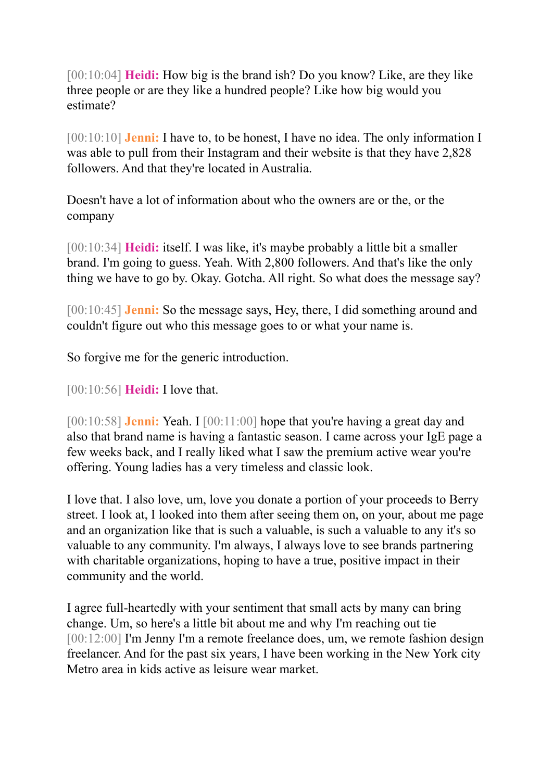[00:10:04] **Heidi:** How big is the brand ish? Do you know? Like, are they like three people or are they like a hundred people? Like how big would you estimate?

[00:10:10] **Jenni:** I have to, to be honest, I have no idea. The only information I was able to pull from their Instagram and their website is that they have 2,828 followers. And that they're located in Australia.

Doesn't have a lot of information about who the owners are or the, or the company

[00:10:34] **Heidi:** itself. I was like, it's maybe probably a little bit a smaller brand. I'm going to guess. Yeah. With 2,800 followers. And that's like the only thing we have to go by. Okay. Gotcha. All right. So what does the message say?

[00:10:45] **Jenni:** So the message says, Hey, there, I did something around and couldn't figure out who this message goes to or what your name is.

So forgive me for the generic introduction.

[00:10:56] **Heidi:** I love that.

[00:10:58] **Jenni:** Yeah. I [00:11:00] hope that you're having a great day and also that brand name is having a fantastic season. I came across your IgE page a few weeks back, and I really liked what I saw the premium active wear you're offering. Young ladies has a very timeless and classic look.

I love that. I also love, um, love you donate a portion of your proceeds to Berry street. I look at, I looked into them after seeing them on, on your, about me page and an organization like that is such a valuable, is such a valuable to any it's so valuable to any community. I'm always, I always love to see brands partnering with charitable organizations, hoping to have a true, positive impact in their community and the world.

I agree full-heartedly with your sentiment that small acts by many can bring change. Um, so here's a little bit about me and why I'm reaching out tie [00:12:00] I'm Jenny I'm a remote freelance does, um, we remote fashion design freelancer. And for the past six years, I have been working in the New York city Metro area in kids active as leisure wear market.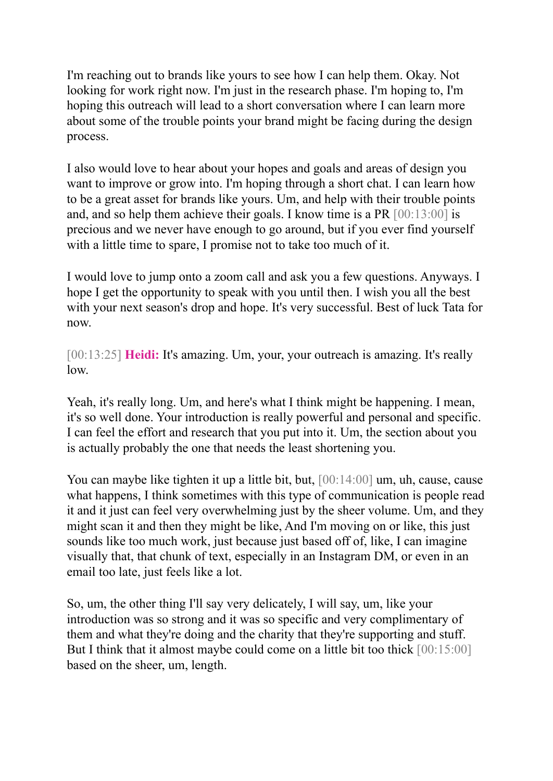I'm reaching out to brands like yours to see how I can help them. Okay. Not looking for work right now. I'm just in the research phase. I'm hoping to, I'm hoping this outreach will lead to a short conversation where I can learn more about some of the trouble points your brand might be facing during the design process.

I also would love to hear about your hopes and goals and areas of design you want to improve or grow into. I'm hoping through a short chat. I can learn how to be a great asset for brands like yours. Um, and help with their trouble points and, and so help them achieve their goals. I know time is a PR [00:13:00] is precious and we never have enough to go around, but if you ever find yourself with a little time to spare, I promise not to take too much of it.

I would love to jump onto a zoom call and ask you a few questions. Anyways. I hope I get the opportunity to speak with you until then. I wish you all the best with your next season's drop and hope. It's very successful. Best of luck Tata for now.

[00:13:25] **Heidi:** It's amazing. Um, your, your outreach is amazing. It's really low.

Yeah, it's really long. Um, and here's what I think might be happening. I mean, it's so well done. Your introduction is really powerful and personal and specific. I can feel the effort and research that you put into it. Um, the section about you is actually probably the one that needs the least shortening you.

You can maybe like tighten it up a little bit, but, [00:14:00] um, uh, cause, cause what happens, I think sometimes with this type of communication is people read it and it just can feel very overwhelming just by the sheer volume. Um, and they might scan it and then they might be like, And I'm moving on or like, this just sounds like too much work, just because just based off of, like, I can imagine visually that, that chunk of text, especially in an Instagram DM, or even in an email too late, just feels like a lot.

So, um, the other thing I'll say very delicately, I will say, um, like your introduction was so strong and it was so specific and very complimentary of them and what they're doing and the charity that they're supporting and stuff. But I think that it almost maybe could come on a little bit too thick  $[00:15:00]$ based on the sheer, um, length.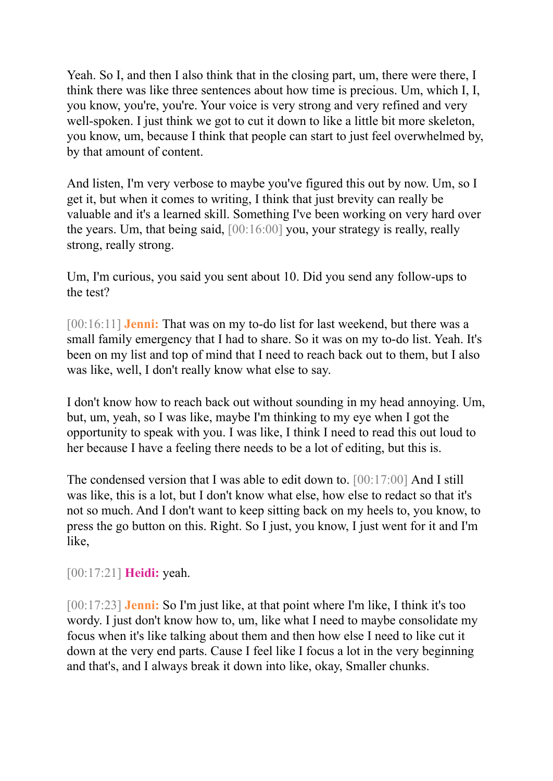Yeah. So I, and then I also think that in the closing part, um, there were there, I think there was like three sentences about how time is precious. Um, which I, I, you know, you're, you're. Your voice is very strong and very refined and very well-spoken. I just think we got to cut it down to like a little bit more skeleton, you know, um, because I think that people can start to just feel overwhelmed by, by that amount of content.

And listen, I'm very verbose to maybe you've figured this out by now. Um, so I get it, but when it comes to writing, I think that just brevity can really be valuable and it's a learned skill. Something I've been working on very hard over the years. Um, that being said, [00:16:00] you, your strategy is really, really strong, really strong.

Um, I'm curious, you said you sent about 10. Did you send any follow-ups to the test?

[00:16:11] **Jenni:** That was on my to-do list for last weekend, but there was a small family emergency that I had to share. So it was on my to-do list. Yeah. It's been on my list and top of mind that I need to reach back out to them, but I also was like, well, I don't really know what else to say.

I don't know how to reach back out without sounding in my head annoying. Um, but, um, yeah, so I was like, maybe I'm thinking to my eye when I got the opportunity to speak with you. I was like, I think I need to read this out loud to her because I have a feeling there needs to be a lot of editing, but this is.

The condensed version that I was able to edit down to. [00:17:00] And I still was like, this is a lot, but I don't know what else, how else to redact so that it's not so much. And I don't want to keep sitting back on my heels to, you know, to press the go button on this. Right. So I just, you know, I just went for it and I'm like,

[00:17:21] **Heidi:** yeah.

[00:17:23] **Jenni:** So I'm just like, at that point where I'm like, I think it's too wordy. I just don't know how to, um, like what I need to maybe consolidate my focus when it's like talking about them and then how else I need to like cut it down at the very end parts. Cause I feel like I focus a lot in the very beginning and that's, and I always break it down into like, okay, Smaller chunks.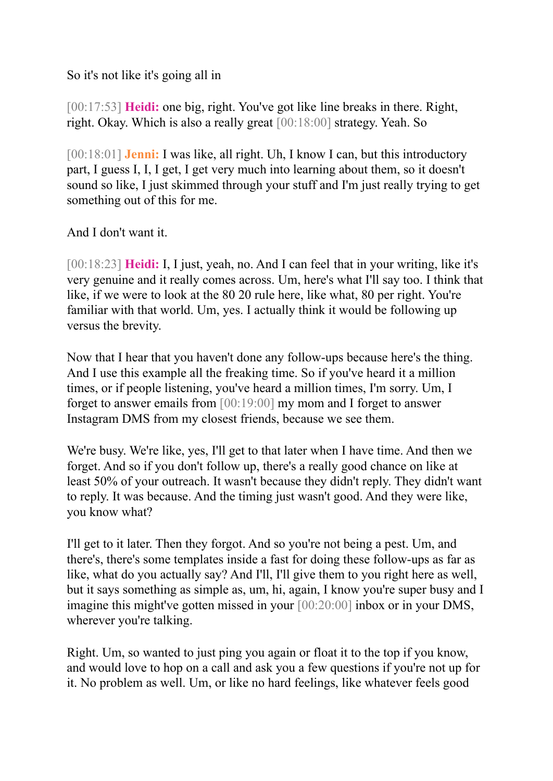So it's not like it's going all in

[00:17:53] **Heidi:** one big, right. You've got like line breaks in there. Right, right. Okay. Which is also a really great [00:18:00] strategy. Yeah. So

[00:18:01] **Jenni:** I was like, all right. Uh, I know I can, but this introductory part, I guess I, I, I get, I get very much into learning about them, so it doesn't sound so like, I just skimmed through your stuff and I'm just really trying to get something out of this for me.

And I don't want it.

[00:18:23] **Heidi:** I, I just, yeah, no. And I can feel that in your writing, like it's very genuine and it really comes across. Um, here's what I'll say too. I think that like, if we were to look at the 80 20 rule here, like what, 80 per right. You're familiar with that world. Um, yes. I actually think it would be following up versus the brevity.

Now that I hear that you haven't done any follow-ups because here's the thing. And I use this example all the freaking time. So if you've heard it a million times, or if people listening, you've heard a million times, I'm sorry. Um, I forget to answer emails from [00:19:00] my mom and I forget to answer Instagram DMS from my closest friends, because we see them.

We're busy. We're like, yes, I'll get to that later when I have time. And then we forget. And so if you don't follow up, there's a really good chance on like at least 50% of your outreach. It wasn't because they didn't reply. They didn't want to reply. It was because. And the timing just wasn't good. And they were like, you know what?

I'll get to it later. Then they forgot. And so you're not being a pest. Um, and there's, there's some templates inside a fast for doing these follow-ups as far as like, what do you actually say? And I'll, I'll give them to you right here as well, but it says something as simple as, um, hi, again, I know you're super busy and I imagine this might've gotten missed in your [00:20:00] inbox or in your DMS, wherever you're talking.

Right. Um, so wanted to just ping you again or float it to the top if you know, and would love to hop on a call and ask you a few questions if you're not up for it. No problem as well. Um, or like no hard feelings, like whatever feels good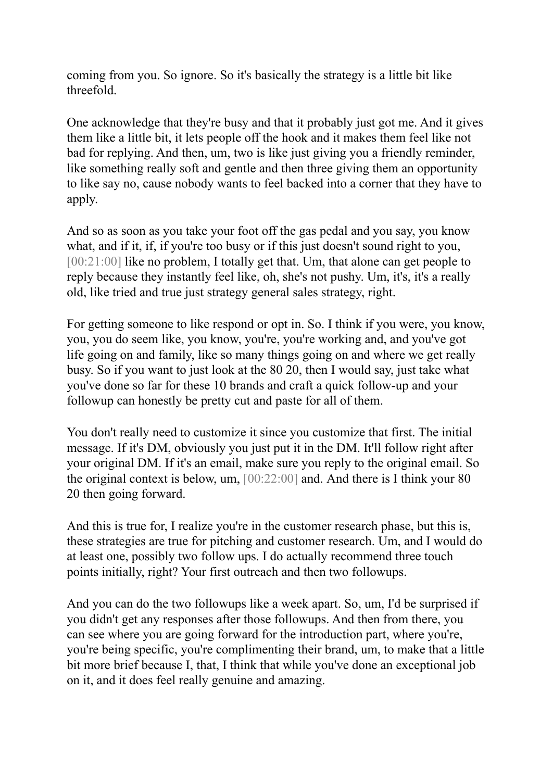coming from you. So ignore. So it's basically the strategy is a little bit like threefold.

One acknowledge that they're busy and that it probably just got me. And it gives them like a little bit, it lets people off the hook and it makes them feel like not bad for replying. And then, um, two is like just giving you a friendly reminder, like something really soft and gentle and then three giving them an opportunity to like say no, cause nobody wants to feel backed into a corner that they have to apply.

And so as soon as you take your foot off the gas pedal and you say, you know what, and if it, if, if you're too busy or if this just doesn't sound right to you, [00:21:00] like no problem, I totally get that. Um, that alone can get people to reply because they instantly feel like, oh, she's not pushy. Um, it's, it's a really old, like tried and true just strategy general sales strategy, right.

For getting someone to like respond or opt in. So. I think if you were, you know, you, you do seem like, you know, you're, you're working and, and you've got life going on and family, like so many things going on and where we get really busy. So if you want to just look at the 80 20, then I would say, just take what you've done so far for these 10 brands and craft a quick follow-up and your followup can honestly be pretty cut and paste for all of them.

You don't really need to customize it since you customize that first. The initial message. If it's DM, obviously you just put it in the DM. It'll follow right after your original DM. If it's an email, make sure you reply to the original email. So the original context is below, um, [00:22:00] and. And there is I think your 80 20 then going forward.

And this is true for, I realize you're in the customer research phase, but this is, these strategies are true for pitching and customer research. Um, and I would do at least one, possibly two follow ups. I do actually recommend three touch points initially, right? Your first outreach and then two followups.

And you can do the two followups like a week apart. So, um, I'd be surprised if you didn't get any responses after those followups. And then from there, you can see where you are going forward for the introduction part, where you're, you're being specific, you're complimenting their brand, um, to make that a little bit more brief because I, that, I think that while you've done an exceptional job on it, and it does feel really genuine and amazing.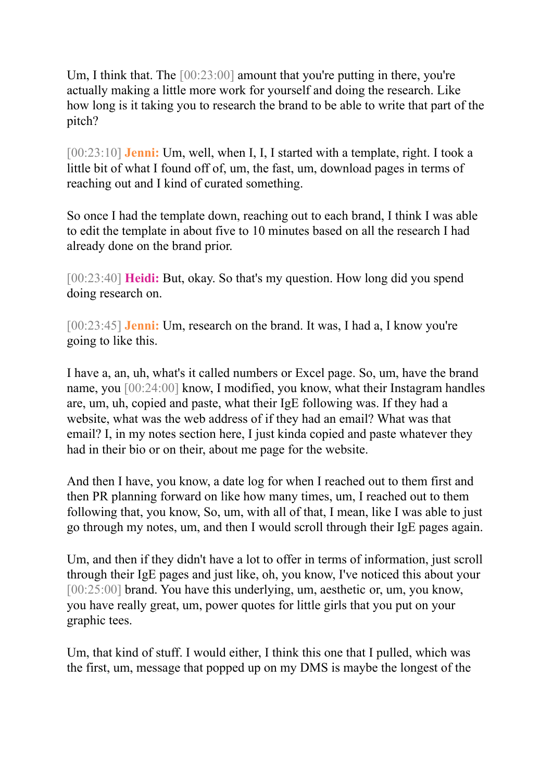Um, I think that. The [00:23:00] amount that you're putting in there, you're actually making a little more work for yourself and doing the research. Like how long is it taking you to research the brand to be able to write that part of the pitch?

[00:23:10] **Jenni:** Um, well, when I, I, I started with a template, right. I took a little bit of what I found off of, um, the fast, um, download pages in terms of reaching out and I kind of curated something.

So once I had the template down, reaching out to each brand, I think I was able to edit the template in about five to 10 minutes based on all the research I had already done on the brand prior.

[00:23:40] **Heidi:** But, okay. So that's my question. How long did you spend doing research on.

[00:23:45] **Jenni:** Um, research on the brand. It was, I had a, I know you're going to like this.

I have a, an, uh, what's it called numbers or Excel page. So, um, have the brand name, you [00:24:00] know, I modified, you know, what their Instagram handles are, um, uh, copied and paste, what their IgE following was. If they had a website, what was the web address of if they had an email? What was that email? I, in my notes section here, I just kinda copied and paste whatever they had in their bio or on their, about me page for the website.

And then I have, you know, a date log for when I reached out to them first and then PR planning forward on like how many times, um, I reached out to them following that, you know, So, um, with all of that, I mean, like I was able to just go through my notes, um, and then I would scroll through their IgE pages again.

Um, and then if they didn't have a lot to offer in terms of information, just scroll through their IgE pages and just like, oh, you know, I've noticed this about your [00:25:00] brand. You have this underlying, um, aesthetic or, um, you know, you have really great, um, power quotes for little girls that you put on your graphic tees.

Um, that kind of stuff. I would either, I think this one that I pulled, which was the first, um, message that popped up on my DMS is maybe the longest of the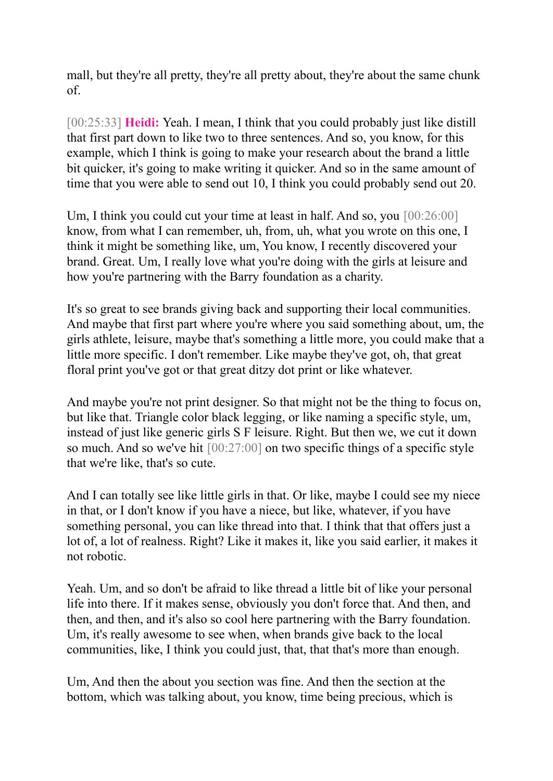mall, but they're all pretty, they're all pretty about, they're about the same chunk of.

[00:25:33] **Heidi:** Yeah. I mean, I think that you could probably just like distill that first part down to like two to three sentences. And so, you know, for this example, which I think is going to make your research about the brand a little bit quicker, it's going to make writing it quicker. And so in the same amount of time that you were able to send out 10, I think you could probably send out 20.

Um, I think you could cut your time at least in half. And so, you  $[00:26:00]$ know, from what I can remember, uh, from, uh, what you wrote on this one, I think it might be something like, um, You know, I recently discovered your brand. Great. Um, I really love what you're doing with the girls at leisure and how you're partnering with the Barry foundation as a charity.

It's so great to see brands giving back and supporting their local communities. And maybe that first part where you're where you said something about, um, the girls athlete, leisure, maybe that's something a little more, you could make that a little more specific. I don't remember. Like maybe they've got, oh, that great floral print you've got or that great ditzy dot print or like whatever.

And maybe you're not print designer. So that might not be the thing to focus on, but like that. Triangle color black legging, or like naming a specific style, um, instead of just like generic girls S F leisure. Right. But then we, we cut it down so much. And so we've hit [00:27:00] on two specific things of a specific style that we're like, that's so cute.

And I can totally see like little girls in that. Or like, maybe I could see my niece in that, or I don't know if you have a niece, but like, whatever, if you have something personal, you can like thread into that. I think that that offers just a lot of, a lot of realness. Right? Like it makes it, like you said earlier, it makes it not robotic.

Yeah. Um, and so don't be afraid to like thread a little bit of like your personal life into there. If it makes sense, obviously you don't force that. And then, and then, and then, and it's also so cool here partnering with the Barry foundation. Um, it's really awesome to see when, when brands give back to the local communities, like, I think you could just, that, that that's more than enough.

Um, And then the about you section was fine. And then the section at the bottom, which was talking about, you know, time being precious, which is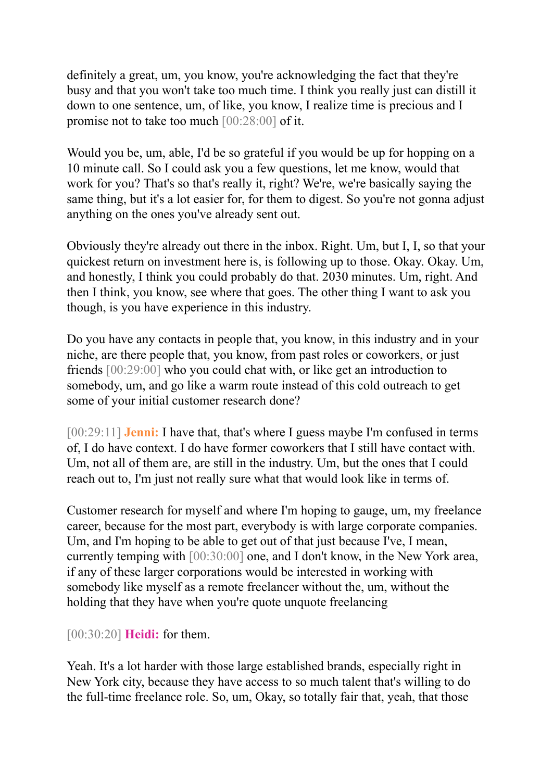definitely a great, um, you know, you're acknowledging the fact that they're busy and that you won't take too much time. I think you really just can distill it down to one sentence, um, of like, you know, I realize time is precious and I promise not to take too much [00:28:00] of it.

Would you be, um, able, I'd be so grateful if you would be up for hopping on a 10 minute call. So I could ask you a few questions, let me know, would that work for you? That's so that's really it, right? We're, we're basically saying the same thing, but it's a lot easier for, for them to digest. So you're not gonna adjust anything on the ones you've already sent out.

Obviously they're already out there in the inbox. Right. Um, but I, I, so that your quickest return on investment here is, is following up to those. Okay. Okay. Um, and honestly, I think you could probably do that. 2030 minutes. Um, right. And then I think, you know, see where that goes. The other thing I want to ask you though, is you have experience in this industry.

Do you have any contacts in people that, you know, in this industry and in your niche, are there people that, you know, from past roles or coworkers, or just friends [00:29:00] who you could chat with, or like get an introduction to somebody, um, and go like a warm route instead of this cold outreach to get some of your initial customer research done?

[00:29:11] **Jenni:** I have that, that's where I guess maybe I'm confused in terms of, I do have context. I do have former coworkers that I still have contact with. Um, not all of them are, are still in the industry. Um, but the ones that I could reach out to, I'm just not really sure what that would look like in terms of.

Customer research for myself and where I'm hoping to gauge, um, my freelance career, because for the most part, everybody is with large corporate companies. Um, and I'm hoping to be able to get out of that just because I've, I mean, currently temping with [00:30:00] one, and I don't know, in the New York area, if any of these larger corporations would be interested in working with somebody like myself as a remote freelancer without the, um, without the holding that they have when you're quote unquote freelancing

## [00:30:20] **Heidi:** for them.

Yeah. It's a lot harder with those large established brands, especially right in New York city, because they have access to so much talent that's willing to do the full-time freelance role. So, um, Okay, so totally fair that, yeah, that those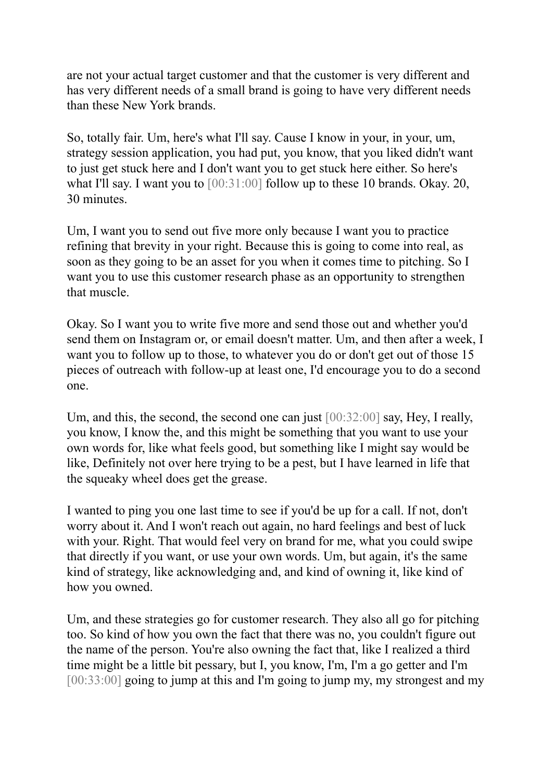are not your actual target customer and that the customer is very different and has very different needs of a small brand is going to have very different needs than these New York brands.

So, totally fair. Um, here's what I'll say. Cause I know in your, in your, um, strategy session application, you had put, you know, that you liked didn't want to just get stuck here and I don't want you to get stuck here either. So here's what I'll say. I want you to  $[00:31:00]$  follow up to these 10 brands. Okay. 20, 30 minutes.

Um, I want you to send out five more only because I want you to practice refining that brevity in your right. Because this is going to come into real, as soon as they going to be an asset for you when it comes time to pitching. So I want you to use this customer research phase as an opportunity to strengthen that muscle.

Okay. So I want you to write five more and send those out and whether you'd send them on Instagram or, or email doesn't matter. Um, and then after a week, I want you to follow up to those, to whatever you do or don't get out of those 15 pieces of outreach with follow-up at least one, I'd encourage you to do a second one.

Um, and this, the second, the second one can just [00:32:00] say, Hey, I really, you know, I know the, and this might be something that you want to use your own words for, like what feels good, but something like I might say would be like, Definitely not over here trying to be a pest, but I have learned in life that the squeaky wheel does get the grease.

I wanted to ping you one last time to see if you'd be up for a call. If not, don't worry about it. And I won't reach out again, no hard feelings and best of luck with your. Right. That would feel very on brand for me, what you could swipe that directly if you want, or use your own words. Um, but again, it's the same kind of strategy, like acknowledging and, and kind of owning it, like kind of how you owned.

Um, and these strategies go for customer research. They also all go for pitching too. So kind of how you own the fact that there was no, you couldn't figure out the name of the person. You're also owning the fact that, like I realized a third time might be a little bit pessary, but I, you know, I'm, I'm a go getter and I'm [00:33:00] going to jump at this and I'm going to jump my, my strongest and my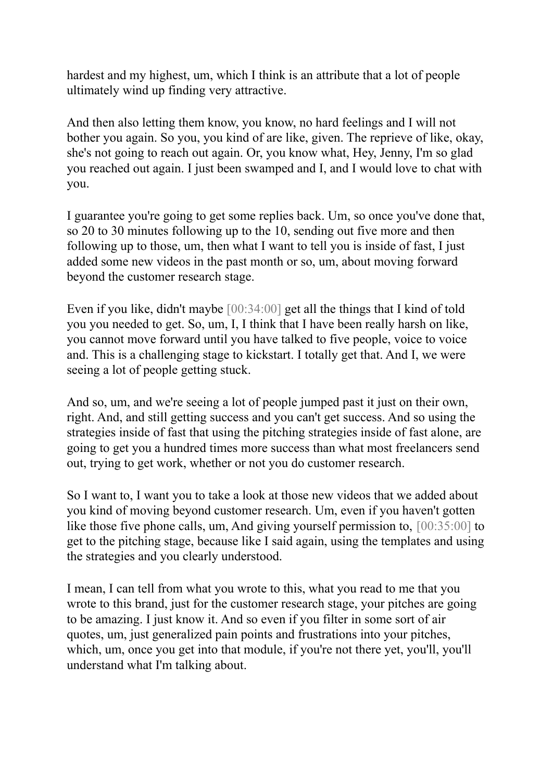hardest and my highest, um, which I think is an attribute that a lot of people ultimately wind up finding very attractive.

And then also letting them know, you know, no hard feelings and I will not bother you again. So you, you kind of are like, given. The reprieve of like, okay, she's not going to reach out again. Or, you know what, Hey, Jenny, I'm so glad you reached out again. I just been swamped and I, and I would love to chat with you.

I guarantee you're going to get some replies back. Um, so once you've done that, so 20 to 30 minutes following up to the 10, sending out five more and then following up to those, um, then what I want to tell you is inside of fast, I just added some new videos in the past month or so, um, about moving forward beyond the customer research stage.

Even if you like, didn't maybe [00:34:00] get all the things that I kind of told you you needed to get. So, um, I, I think that I have been really harsh on like, you cannot move forward until you have talked to five people, voice to voice and. This is a challenging stage to kickstart. I totally get that. And I, we were seeing a lot of people getting stuck.

And so, um, and we're seeing a lot of people jumped past it just on their own, right. And, and still getting success and you can't get success. And so using the strategies inside of fast that using the pitching strategies inside of fast alone, are going to get you a hundred times more success than what most freelancers send out, trying to get work, whether or not you do customer research.

So I want to, I want you to take a look at those new videos that we added about you kind of moving beyond customer research. Um, even if you haven't gotten like those five phone calls, um, And giving yourself permission to, [00:35:00] to get to the pitching stage, because like I said again, using the templates and using the strategies and you clearly understood.

I mean, I can tell from what you wrote to this, what you read to me that you wrote to this brand, just for the customer research stage, your pitches are going to be amazing. I just know it. And so even if you filter in some sort of air quotes, um, just generalized pain points and frustrations into your pitches, which, um, once you get into that module, if you're not there yet, you'll, you'll understand what I'm talking about.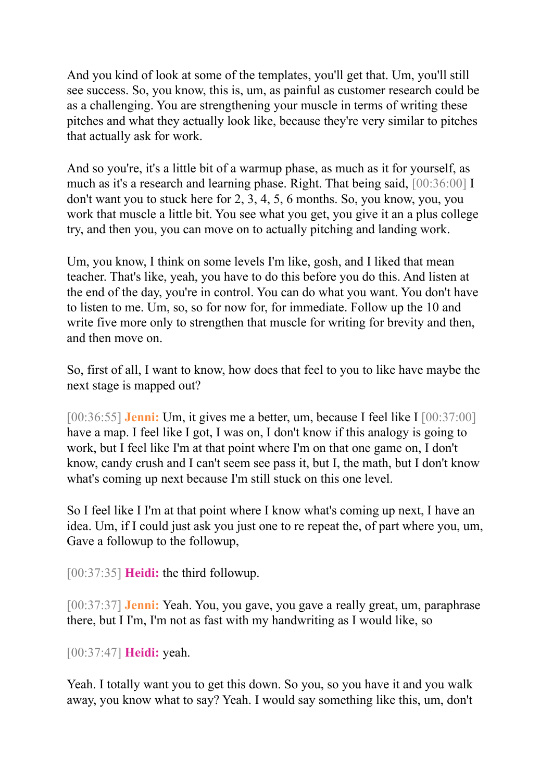And you kind of look at some of the templates, you'll get that. Um, you'll still see success. So, you know, this is, um, as painful as customer research could be as a challenging. You are strengthening your muscle in terms of writing these pitches and what they actually look like, because they're very similar to pitches that actually ask for work.

And so you're, it's a little bit of a warmup phase, as much as it for yourself, as much as it's a research and learning phase. Right. That being said, [00:36:00] I don't want you to stuck here for 2, 3, 4, 5, 6 months. So, you know, you, you work that muscle a little bit. You see what you get, you give it an a plus college try, and then you, you can move on to actually pitching and landing work.

Um, you know, I think on some levels I'm like, gosh, and I liked that mean teacher. That's like, yeah, you have to do this before you do this. And listen at the end of the day, you're in control. You can do what you want. You don't have to listen to me. Um, so, so for now for, for immediate. Follow up the 10 and write five more only to strengthen that muscle for writing for brevity and then, and then move on.

So, first of all, I want to know, how does that feel to you to like have maybe the next stage is mapped out?

[00:36:55] **Jenni:** Um, it gives me a better, um, because I feel like I [00:37:00] have a map. I feel like I got, I was on, I don't know if this analogy is going to work, but I feel like I'm at that point where I'm on that one game on, I don't know, candy crush and I can't seem see pass it, but I, the math, but I don't know what's coming up next because I'm still stuck on this one level.

So I feel like I I'm at that point where I know what's coming up next, I have an idea. Um, if I could just ask you just one to re repeat the, of part where you, um, Gave a followup to the followup,

[00:37:35] **Heidi:** the third followup.

[00:37:37] **Jenni:** Yeah. You, you gave, you gave a really great, um, paraphrase there, but I I'm, I'm not as fast with my handwriting as I would like, so

[00:37:47] **Heidi:** yeah.

Yeah. I totally want you to get this down. So you, so you have it and you walk away, you know what to say? Yeah. I would say something like this, um, don't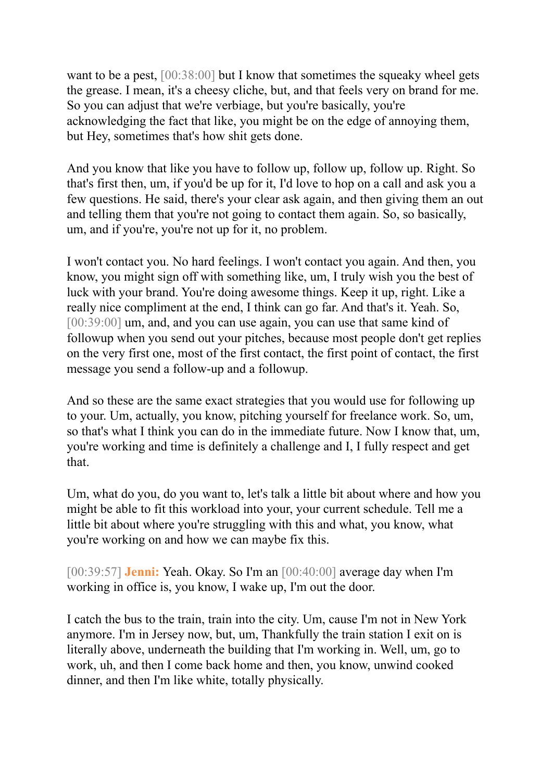want to be a pest, [00:38:00] but I know that sometimes the squeaky wheel gets the grease. I mean, it's a cheesy cliche, but, and that feels very on brand for me. So you can adjust that we're verbiage, but you're basically, you're acknowledging the fact that like, you might be on the edge of annoying them, but Hey, sometimes that's how shit gets done.

And you know that like you have to follow up, follow up, follow up. Right. So that's first then, um, if you'd be up for it, I'd love to hop on a call and ask you a few questions. He said, there's your clear ask again, and then giving them an out and telling them that you're not going to contact them again. So, so basically, um, and if you're, you're not up for it, no problem.

I won't contact you. No hard feelings. I won't contact you again. And then, you know, you might sign off with something like, um, I truly wish you the best of luck with your brand. You're doing awesome things. Keep it up, right. Like a really nice compliment at the end, I think can go far. And that's it. Yeah. So, [00:39:00] um, and, and you can use again, you can use that same kind of followup when you send out your pitches, because most people don't get replies on the very first one, most of the first contact, the first point of contact, the first message you send a follow-up and a followup.

And so these are the same exact strategies that you would use for following up to your. Um, actually, you know, pitching yourself for freelance work. So, um, so that's what I think you can do in the immediate future. Now I know that, um, you're working and time is definitely a challenge and I, I fully respect and get that.

Um, what do you, do you want to, let's talk a little bit about where and how you might be able to fit this workload into your, your current schedule. Tell me a little bit about where you're struggling with this and what, you know, what you're working on and how we can maybe fix this.

[00:39:57] **Jenni:** Yeah. Okay. So I'm an [00:40:00] average day when I'm working in office is, you know, I wake up, I'm out the door.

I catch the bus to the train, train into the city. Um, cause I'm not in New York anymore. I'm in Jersey now, but, um, Thankfully the train station I exit on is literally above, underneath the building that I'm working in. Well, um, go to work, uh, and then I come back home and then, you know, unwind cooked dinner, and then I'm like white, totally physically.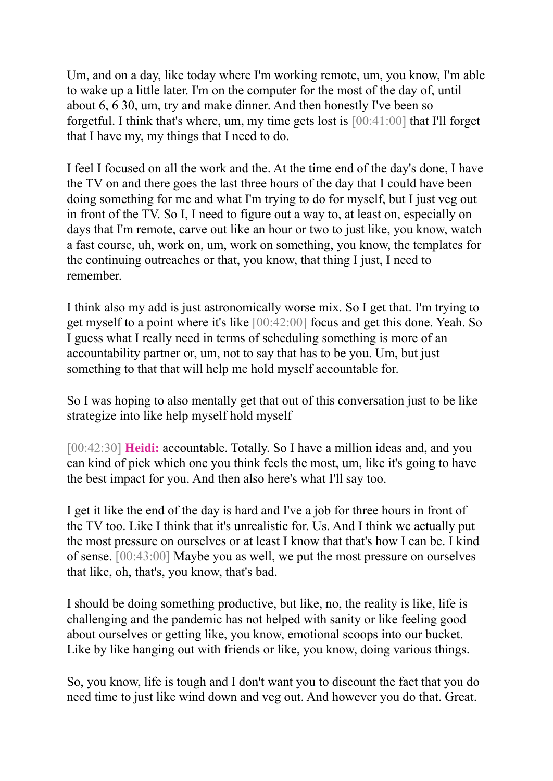Um, and on a day, like today where I'm working remote, um, you know, I'm able to wake up a little later. I'm on the computer for the most of the day of, until about 6, 6 30, um, try and make dinner. And then honestly I've been so forgetful. I think that's where, um, my time gets lost is [00:41:00] that I'll forget that I have my, my things that I need to do.

I feel I focused on all the work and the. At the time end of the day's done, I have the TV on and there goes the last three hours of the day that I could have been doing something for me and what I'm trying to do for myself, but I just veg out in front of the TV. So I, I need to figure out a way to, at least on, especially on days that I'm remote, carve out like an hour or two to just like, you know, watch a fast course, uh, work on, um, work on something, you know, the templates for the continuing outreaches or that, you know, that thing I just, I need to remember.

I think also my add is just astronomically worse mix. So I get that. I'm trying to get myself to a point where it's like [00:42:00] focus and get this done. Yeah. So I guess what I really need in terms of scheduling something is more of an accountability partner or, um, not to say that has to be you. Um, but just something to that that will help me hold myself accountable for.

So I was hoping to also mentally get that out of this conversation just to be like strategize into like help myself hold myself

[00:42:30] **Heidi:** accountable. Totally. So I have a million ideas and, and you can kind of pick which one you think feels the most, um, like it's going to have the best impact for you. And then also here's what I'll say too.

I get it like the end of the day is hard and I've a job for three hours in front of the TV too. Like I think that it's unrealistic for. Us. And I think we actually put the most pressure on ourselves or at least I know that that's how I can be. I kind of sense. [00:43:00] Maybe you as well, we put the most pressure on ourselves that like, oh, that's, you know, that's bad.

I should be doing something productive, but like, no, the reality is like, life is challenging and the pandemic has not helped with sanity or like feeling good about ourselves or getting like, you know, emotional scoops into our bucket. Like by like hanging out with friends or like, you know, doing various things.

So, you know, life is tough and I don't want you to discount the fact that you do need time to just like wind down and veg out. And however you do that. Great.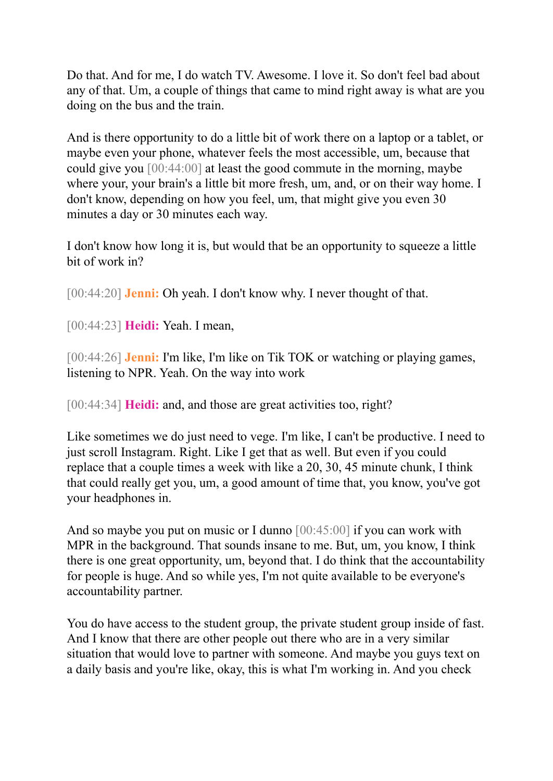Do that. And for me, I do watch TV. Awesome. I love it. So don't feel bad about any of that. Um, a couple of things that came to mind right away is what are you doing on the bus and the train.

And is there opportunity to do a little bit of work there on a laptop or a tablet, or maybe even your phone, whatever feels the most accessible, um, because that could give you [00:44:00] at least the good commute in the morning, maybe where your, your brain's a little bit more fresh, um, and, or on their way home. I don't know, depending on how you feel, um, that might give you even 30 minutes a day or 30 minutes each way.

I don't know how long it is, but would that be an opportunity to squeeze a little bit of work in?

[00:44:20] **Jenni:** Oh yeah. I don't know why. I never thought of that.

[00:44:23] **Heidi:** Yeah. I mean,

[00:44:26] **Jenni:** I'm like, I'm like on Tik TOK or watching or playing games, listening to NPR. Yeah. On the way into work

[00:44:34] **Heidi:** and, and those are great activities too, right?

Like sometimes we do just need to vege. I'm like, I can't be productive. I need to just scroll Instagram. Right. Like I get that as well. But even if you could replace that a couple times a week with like a 20, 30, 45 minute chunk, I think that could really get you, um, a good amount of time that, you know, you've got your headphones in.

And so maybe you put on music or I dunno [00:45:00] if you can work with MPR in the background. That sounds insane to me. But, um, you know, I think there is one great opportunity, um, beyond that. I do think that the accountability for people is huge. And so while yes, I'm not quite available to be everyone's accountability partner.

You do have access to the student group, the private student group inside of fast. And I know that there are other people out there who are in a very similar situation that would love to partner with someone. And maybe you guys text on a daily basis and you're like, okay, this is what I'm working in. And you check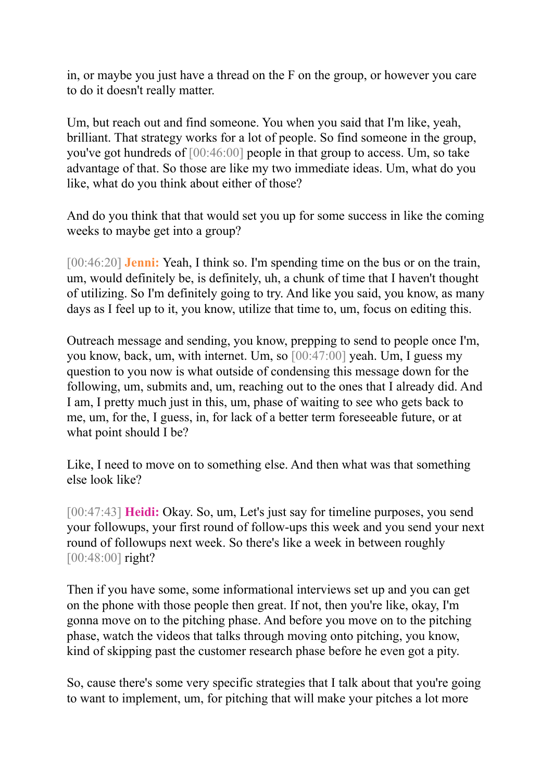in, or maybe you just have a thread on the F on the group, or however you care to do it doesn't really matter.

Um, but reach out and find someone. You when you said that I'm like, yeah, brilliant. That strategy works for a lot of people. So find someone in the group, you've got hundreds of [00:46:00] people in that group to access. Um, so take advantage of that. So those are like my two immediate ideas. Um, what do you like, what do you think about either of those?

And do you think that that would set you up for some success in like the coming weeks to maybe get into a group?

[00:46:20] **Jenni:** Yeah, I think so. I'm spending time on the bus or on the train, um, would definitely be, is definitely, uh, a chunk of time that I haven't thought of utilizing. So I'm definitely going to try. And like you said, you know, as many days as I feel up to it, you know, utilize that time to, um, focus on editing this.

Outreach message and sending, you know, prepping to send to people once I'm, you know, back, um, with internet. Um, so [00:47:00] yeah. Um, I guess my question to you now is what outside of condensing this message down for the following, um, submits and, um, reaching out to the ones that I already did. And I am, I pretty much just in this, um, phase of waiting to see who gets back to me, um, for the, I guess, in, for lack of a better term foreseeable future, or at what point should I be?

Like, I need to move on to something else. And then what was that something else look like?

[00:47:43] **Heidi:** Okay. So, um, Let's just say for timeline purposes, you send your followups, your first round of follow-ups this week and you send your next round of followups next week. So there's like a week in between roughly [00:48:00] right?

Then if you have some, some informational interviews set up and you can get on the phone with those people then great. If not, then you're like, okay, I'm gonna move on to the pitching phase. And before you move on to the pitching phase, watch the videos that talks through moving onto pitching, you know, kind of skipping past the customer research phase before he even got a pity.

So, cause there's some very specific strategies that I talk about that you're going to want to implement, um, for pitching that will make your pitches a lot more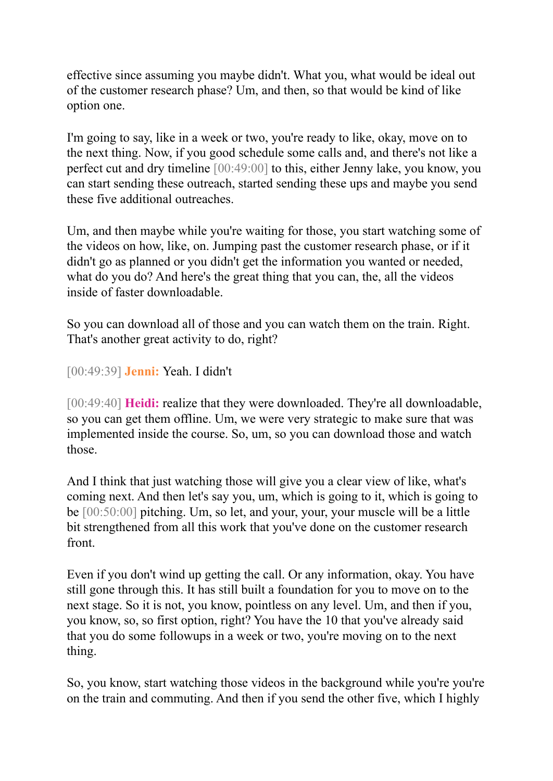effective since assuming you maybe didn't. What you, what would be ideal out of the customer research phase? Um, and then, so that would be kind of like option one.

I'm going to say, like in a week or two, you're ready to like, okay, move on to the next thing. Now, if you good schedule some calls and, and there's not like a perfect cut and dry timeline [00:49:00] to this, either Jenny lake, you know, you can start sending these outreach, started sending these ups and maybe you send these five additional outreaches.

Um, and then maybe while you're waiting for those, you start watching some of the videos on how, like, on. Jumping past the customer research phase, or if it didn't go as planned or you didn't get the information you wanted or needed, what do you do? And here's the great thing that you can, the, all the videos inside of faster downloadable.

So you can download all of those and you can watch them on the train. Right. That's another great activity to do, right?

[00:49:39] **Jenni:** Yeah. I didn't

[00:49:40] **Heidi:** realize that they were downloaded. They're all downloadable, so you can get them offline. Um, we were very strategic to make sure that was implemented inside the course. So, um, so you can download those and watch those.

And I think that just watching those will give you a clear view of like, what's coming next. And then let's say you, um, which is going to it, which is going to be [00:50:00] pitching. Um, so let, and your, your, your muscle will be a little bit strengthened from all this work that you've done on the customer research front.

Even if you don't wind up getting the call. Or any information, okay. You have still gone through this. It has still built a foundation for you to move on to the next stage. So it is not, you know, pointless on any level. Um, and then if you, you know, so, so first option, right? You have the 10 that you've already said that you do some followups in a week or two, you're moving on to the next thing.

So, you know, start watching those videos in the background while you're you're on the train and commuting. And then if you send the other five, which I highly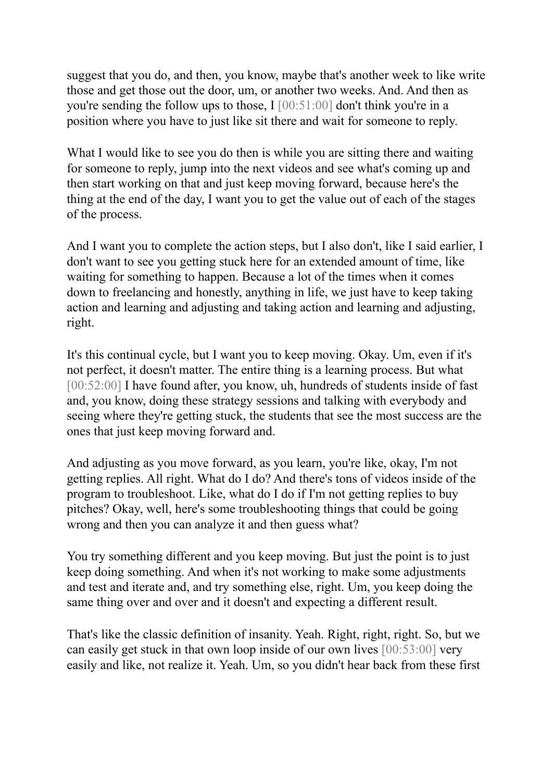suggest that you do, and then, you know, maybe that's another week to like write those and get those out the door, um, or another two weeks. And. And then as you're sending the follow ups to those, I [00:51:00] don't think you're in a position where you have to just like sit there and wait for someone to reply.

What I would like to see you do then is while you are sitting there and waiting for someone to reply, jump into the next videos and see what's coming up and then start working on that and just keep moving forward, because here's the thing at the end of the day, I want you to get the value out of each of the stages of the process.

And I want you to complete the action steps, but I also don't, like I said earlier, I don't want to see you getting stuck here for an extended amount of time, like waiting for something to happen. Because a lot of the times when it comes down to freelancing and honestly, anything in life, we just have to keep taking action and learning and adjusting and taking action and learning and adjusting, right.

It's this continual cycle, but I want you to keep moving. Okay. Um, even if it's not perfect, it doesn't matter. The entire thing is a learning process. But what [00:52:00] I have found after, you know, uh, hundreds of students inside of fast and, you know, doing these strategy sessions and talking with everybody and seeing where they're getting stuck, the students that see the most success are the ones that just keep moving forward and.

And adjusting as you move forward, as you learn, you're like, okay, I'm not getting replies. All right. What do I do? And there's tons of videos inside of the program to troubleshoot. Like, what do I do if I'm not getting replies to buy pitches? Okay, well, here's some troubleshooting things that could be going wrong and then you can analyze it and then guess what?

You try something different and you keep moving. But just the point is to just keep doing something. And when it's not working to make some adjustments and test and iterate and, and try something else, right. Um, you keep doing the same thing over and over and it doesn't and expecting a different result.

That's like the classic definition of insanity. Yeah. Right, right, right. So, but we can easily get stuck in that own loop inside of our own lives [00:53:00] very easily and like, not realize it. Yeah. Um, so you didn't hear back from these first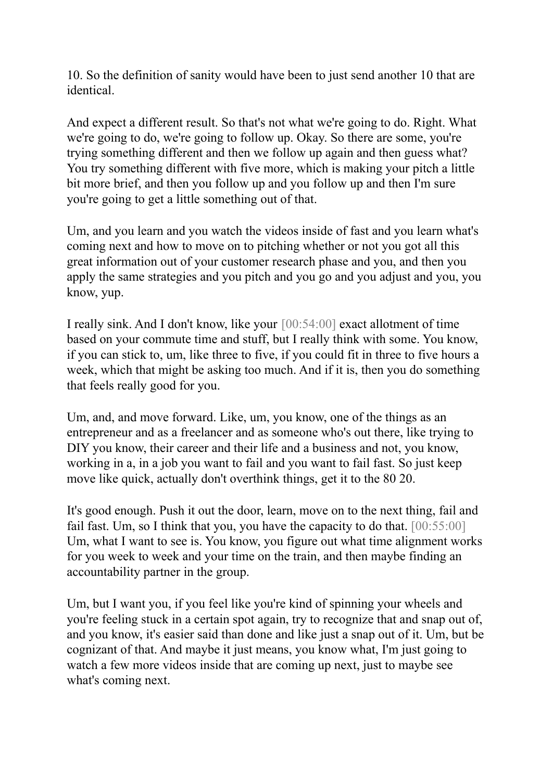10. So the definition of sanity would have been to just send another 10 that are identical.

And expect a different result. So that's not what we're going to do. Right. What we're going to do, we're going to follow up. Okay. So there are some, you're trying something different and then we follow up again and then guess what? You try something different with five more, which is making your pitch a little bit more brief, and then you follow up and you follow up and then I'm sure you're going to get a little something out of that.

Um, and you learn and you watch the videos inside of fast and you learn what's coming next and how to move on to pitching whether or not you got all this great information out of your customer research phase and you, and then you apply the same strategies and you pitch and you go and you adjust and you, you know, yup.

I really sink. And I don't know, like your [00:54:00] exact allotment of time based on your commute time and stuff, but I really think with some. You know, if you can stick to, um, like three to five, if you could fit in three to five hours a week, which that might be asking too much. And if it is, then you do something that feels really good for you.

Um, and, and move forward. Like, um, you know, one of the things as an entrepreneur and as a freelancer and as someone who's out there, like trying to DIY you know, their career and their life and a business and not, you know, working in a, in a job you want to fail and you want to fail fast. So just keep move like quick, actually don't overthink things, get it to the 80 20.

It's good enough. Push it out the door, learn, move on to the next thing, fail and fail fast. Um, so I think that you, you have the capacity to do that.  $[00:55:00]$ Um, what I want to see is. You know, you figure out what time alignment works for you week to week and your time on the train, and then maybe finding an accountability partner in the group.

Um, but I want you, if you feel like you're kind of spinning your wheels and you're feeling stuck in a certain spot again, try to recognize that and snap out of, and you know, it's easier said than done and like just a snap out of it. Um, but be cognizant of that. And maybe it just means, you know what, I'm just going to watch a few more videos inside that are coming up next, just to maybe see what's coming next.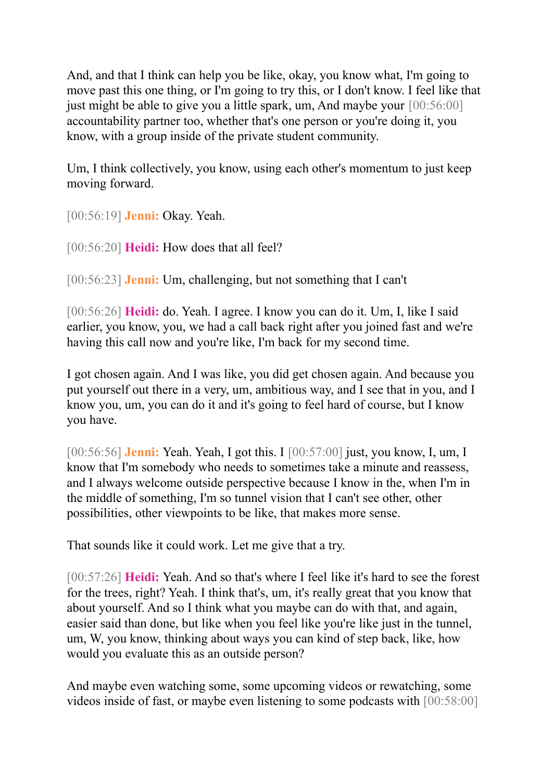And, and that I think can help you be like, okay, you know what, I'm going to move past this one thing, or I'm going to try this, or I don't know. I feel like that just might be able to give you a little spark, um, And maybe your [00:56:00] accountability partner too, whether that's one person or you're doing it, you know, with a group inside of the private student community.

Um, I think collectively, you know, using each other's momentum to just keep moving forward.

[00:56:19] **Jenni:** Okay. Yeah.

[00:56:20] **Heidi:** How does that all feel?

[00:56:23] **Jenni:** Um, challenging, but not something that I can't

[00:56:26] **Heidi:** do. Yeah. I agree. I know you can do it. Um, I, like I said earlier, you know, you, we had a call back right after you joined fast and we're having this call now and you're like, I'm back for my second time.

I got chosen again. And I was like, you did get chosen again. And because you put yourself out there in a very, um, ambitious way, and I see that in you, and I know you, um, you can do it and it's going to feel hard of course, but I know you have.

[00:56:56] **Jenni:** Yeah. Yeah, I got this. I [00:57:00] just, you know, I, um, I know that I'm somebody who needs to sometimes take a minute and reassess, and I always welcome outside perspective because I know in the, when I'm in the middle of something, I'm so tunnel vision that I can't see other, other possibilities, other viewpoints to be like, that makes more sense.

That sounds like it could work. Let me give that a try.

[00:57:26] **Heidi:** Yeah. And so that's where I feel like it's hard to see the forest for the trees, right? Yeah. I think that's, um, it's really great that you know that about yourself. And so I think what you maybe can do with that, and again, easier said than done, but like when you feel like you're like just in the tunnel, um, W, you know, thinking about ways you can kind of step back, like, how would you evaluate this as an outside person?

And maybe even watching some, some upcoming videos or rewatching, some videos inside of fast, or maybe even listening to some podcasts with [00:58:00]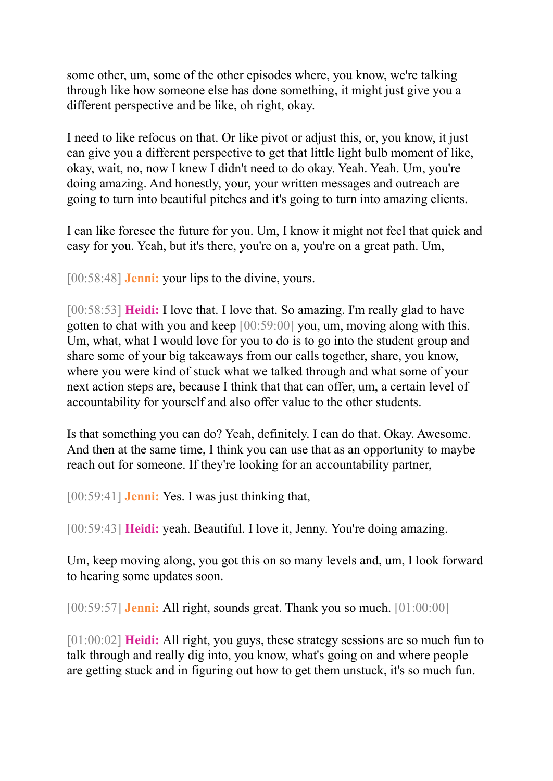some other, um, some of the other episodes where, you know, we're talking through like how someone else has done something, it might just give you a different perspective and be like, oh right, okay.

I need to like refocus on that. Or like pivot or adjust this, or, you know, it just can give you a different perspective to get that little light bulb moment of like, okay, wait, no, now I knew I didn't need to do okay. Yeah. Yeah. Um, you're doing amazing. And honestly, your, your written messages and outreach are going to turn into beautiful pitches and it's going to turn into amazing clients.

I can like foresee the future for you. Um, I know it might not feel that quick and easy for you. Yeah, but it's there, you're on a, you're on a great path. Um,

[00:58:48] **Jenni:** your lips to the divine, yours.

[00:58:53] **Heidi:** I love that. I love that. So amazing. I'm really glad to have gotten to chat with you and keep [00:59:00] you, um, moving along with this. Um, what, what I would love for you to do is to go into the student group and share some of your big takeaways from our calls together, share, you know, where you were kind of stuck what we talked through and what some of your next action steps are, because I think that that can offer, um, a certain level of accountability for yourself and also offer value to the other students.

Is that something you can do? Yeah, definitely. I can do that. Okay. Awesome. And then at the same time, I think you can use that as an opportunity to maybe reach out for someone. If they're looking for an accountability partner,

[00:59:41] **Jenni:** Yes. I was just thinking that,

[00:59:43] **Heidi:** yeah. Beautiful. I love it, Jenny. You're doing amazing.

Um, keep moving along, you got this on so many levels and, um, I look forward to hearing some updates soon.

[00:59:57] **Jenni:** All right, sounds great. Thank you so much. [01:00:00]

[01:00:02] **Heidi:** All right, you guys, these strategy sessions are so much fun to talk through and really dig into, you know, what's going on and where people are getting stuck and in figuring out how to get them unstuck, it's so much fun.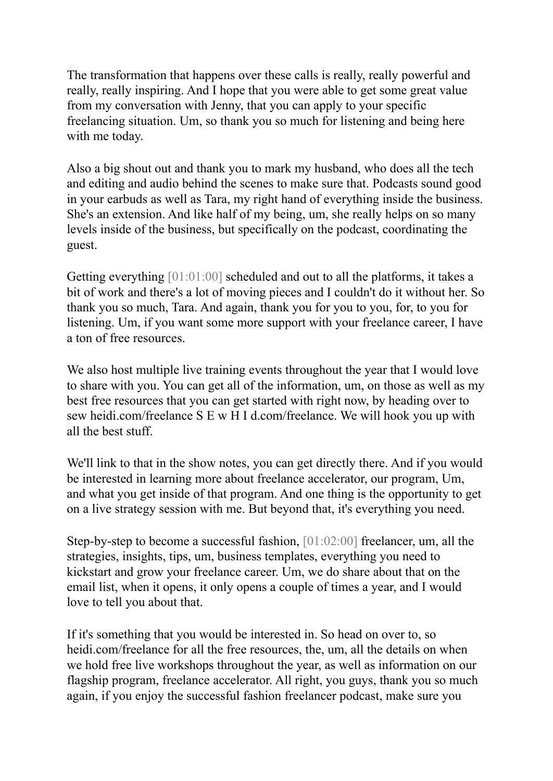The transformation that happens over these calls is really, really powerful and really, really inspiring. And I hope that you were able to get some great value from my conversation with Jenny, that you can apply to your specific freelancing situation. Um, so thank you so much for listening and being here with me today.

Also a big shout out and thank you to mark my husband, who does all the tech and editing and audio behind the scenes to make sure that. Podcasts sound good in your earbuds as well as Tara, my right hand of everything inside the business. She's an extension. And like half of my being, um, she really helps on so many levels inside of the business, but specifically on the podcast, coordinating the guest.

Getting everything [01:01:00] scheduled and out to all the platforms, it takes a bit of work and there's a lot of moving pieces and I couldn't do it without her. So thank you so much, Tara. And again, thank you for you to you, for, to you for listening. Um, if you want some more support with your freelance career, I have a ton of free resources.

We also host multiple live training events throughout the year that I would love to share with you. You can get all of the information, um, on those as well as my best free resources that you can get started with right now, by heading over to sew heidi.com/freelance S E w H I d.com/freelance. We will hook you up with all the best stuff.

We'll link to that in the show notes, you can get directly there. And if you would be interested in learning more about freelance accelerator, our program, Um, and what you get inside of that program. And one thing is the opportunity to get on a live strategy session with me. But beyond that, it's everything you need.

Step-by-step to become a successful fashion, [01:02:00] freelancer, um, all the strategies, insights, tips, um, business templates, everything you need to kickstart and grow your freelance career. Um, we do share about that on the email list, when it opens, it only opens a couple of times a year, and I would love to tell you about that.

If it's something that you would be interested in. So head on over to, so heidi.com/freelance for all the free resources, the, um, all the details on when we hold free live workshops throughout the year, as well as information on our flagship program, freelance accelerator. All right, you guys, thank you so much again, if you enjoy the successful fashion freelancer podcast, make sure you